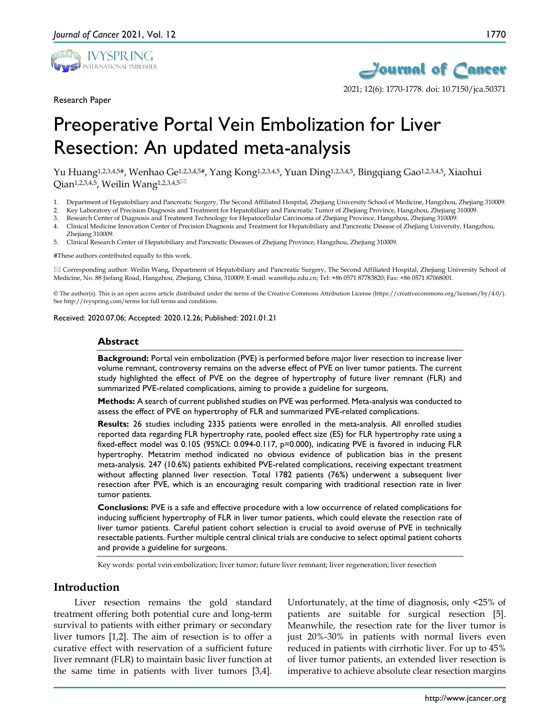

Research Paper



2021; 12(6): 1770-1778. doi: 10.7150/jca.50371

# Preoperative Portal Vein Embolization for Liver Resection: An updated meta-analysis

Yu Huang1,2,3,4,5#, Wenhao Ge1,2,3,4,5#, Yang Kong1,2,3,4,5, Yuan Ding1,2,3,4,5, Bingqiang Gao1,2,3,4,5, Xiaohui Qian<sup>1,2,3,4,5</sup>, Weilin Wang<sup>1,2,3,4,5⊠</sup>

1. Department of Hepatobiliary and Pancreatic Surgery, The Second Affiliated Hospital, Zhejiang University School of Medicine, Hangzhou, Zhejiang 310009.

2. Key Laboratory of Precision Diagnosis and Treatment for Hepatobiliary and Pancreatic Tumor of Zhejiang Province, Hangzhou, Zhejiang 310009.

- 3. Research Center of Diagnosis and Treatment Technology for Hepatocellular Carcinoma of Zhejiang Province, Hangzhou, Zhejiang 310009.
- 4. Clinical Medicine Innovation Center of Precision Diagnosis and Treatment for Hepatobiliary and Pancreatic Disease of Zhejiang University, Hangzhou, Zhejiang 310009.
- 5. Clinical Research Center of Hepatobiliary and Pancreatic Diseases of Zhejiang Province, Hangzhou, Zhejiang 310009.

#These authors contributed equally to this work.

 Corresponding author: Weilin Wang, Department of Hepatobiliary and Pancreatic Surgery, The Second Affiliated Hospital, Zhejiang University School of Medicine, No. 88 Jiefang Road, Hangzhou, Zhejiang, China, 310009; E-mail: wam@zju.edu.cn; Tel: +86 0571 87783820; Fax: +86 0571 87068001.

© The author(s). This is an open access article distributed under the terms of the Creative Commons Attribution License (https://creativecommons.org/licenses/by/4.0/). See http://ivyspring.com/terms for full terms and conditions.

Received: 2020.07.06; Accepted: 2020.12.26; Published: 2021.01.21

#### **Abstract**

**Background:** Portal vein embolization (PVE) is performed before major liver resection to increase liver volume remnant, controversy remains on the adverse effect of PVE on liver tumor patients. The current study highlighted the effect of PVE on the degree of hypertrophy of future liver remnant (FLR) and summarized PVE-related complications, aiming to provide a guideline for surgeons.

**Methods:** A search of current published studies on PVE was performed. Meta-analysis was conducted to assess the effect of PVE on hypertrophy of FLR and summarized PVE-related complications.

**Results:** 26 studies including 2335 patients were enrolled in the meta-analysis. All enrolled studies reported data regarding FLR hypertrophy rate, pooled effect size (ES) for FLR hypertrophy rate using a fixed-effect model was 0.105 (95%CI: 0.094-0.117, p=0.000), indicating PVE is favored in inducing FLR hypertrophy. Metatrim method indicated no obvious evidence of publication bias in the present meta-analysis. 247 (10.6%) patients exhibited PVE-related complications, receiving expectant treatment without affecting planned liver resection. Total 1782 patients (76%) underwent a subsequent liver resection after PVE, which is an encouraging result comparing with traditional resection rate in liver tumor patients.

**Conclusions:** PVE is a safe and effective procedure with a low occurrence of related complications for inducing sufficient hypertrophy of FLR in liver tumor patients, which could elevate the resection rate of liver tumor patients. Careful patient cohort selection is crucial to avoid overuse of PVE in technically resectable patients. Further multiple central clinical trials are conducive to select optimal patient cohorts and provide a guideline for surgeons.

Key words: portal vein embolization; liver tumor; future liver remnant; liver regeneration; liver resection

## **Introduction**

Liver resection remains the gold standard treatment offering both potential cure and long-term survival to patients with either primary or secondary liver tumors [1,2]. The aim of resection is to offer a curative effect with reservation of a sufficient future liver remnant (FLR) to maintain basic liver function at the same time in patients with liver tumors [3,4].

Unfortunately, at the time of diagnosis, only <25% of patients are suitable for surgical resection [5]. Meanwhile, the resection rate for the liver tumor is just 20%-30% in patients with normal livers even reduced in patients with cirrhotic liver. For up to 45% of liver tumor patients, an extended liver resection is imperative to achieve absolute clear resection margins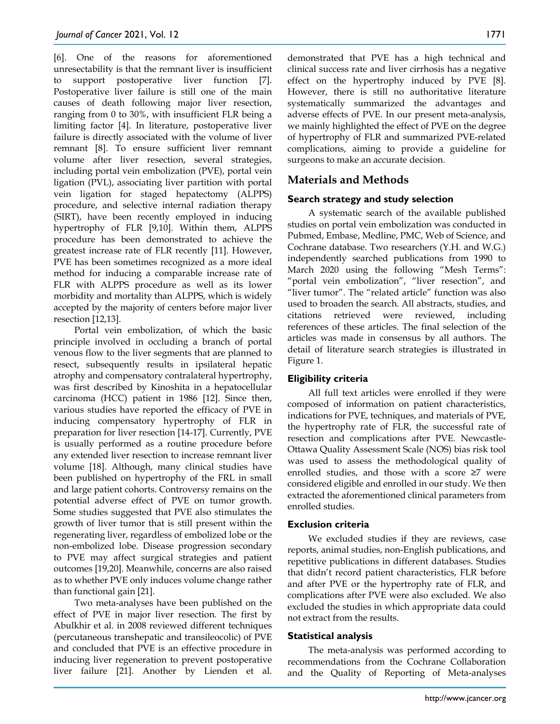[6]. One of the reasons for aforementioned unresectability is that the remnant liver is insufficient to support postoperative liver function [7]. Postoperative liver failure is still one of the main causes of death following major liver resection, ranging from 0 to 30%, with insufficient FLR being a limiting factor [4]. In literature, postoperative liver failure is directly associated with the volume of liver remnant [8]. To ensure sufficient liver remnant volume after liver resection, several strategies, including portal vein embolization (PVE), portal vein ligation (PVL), associating liver partition with portal vein ligation for staged hepatectomy (ALPPS) procedure, and selective internal radiation therapy (SIRT), have been recently employed in inducing hypertrophy of FLR [9,10]. Within them, ALPPS procedure has been demonstrated to achieve the greatest increase rate of FLR recently [11]. However, PVE has been sometimes recognized as a more ideal method for inducing a comparable increase rate of FLR with ALPPS procedure as well as its lower morbidity and mortality than ALPPS, which is widely accepted by the majority of centers before major liver resection [12,13].

Portal vein embolization, of which the basic principle involved in occluding a branch of portal venous flow to the liver segments that are planned to resect, subsequently results in ipsilateral hepatic atrophy and compensatory contralateral hypertrophy, was first described by Kinoshita in a hepatocellular carcinoma (HCC) patient in 1986 [12]. Since then, various studies have reported the efficacy of PVE in inducing compensatory hypertrophy of FLR in preparation for liver resection [14-17]. Currently, PVE is usually performed as a routine procedure before any extended liver resection to increase remnant liver volume [18]. Although, many clinical studies have been published on hypertrophy of the FRL in small and large patient cohorts. Controversy remains on the potential adverse effect of PVE on tumor growth. Some studies suggested that PVE also stimulates the growth of liver tumor that is still present within the regenerating liver, regardless of embolized lobe or the non-embolized lobe. Disease progression secondary to PVE may affect surgical strategies and patient outcomes [19,20]. Meanwhile, concerns are also raised as to whether PVE only induces volume change rather than functional gain [21].

Two meta-analyses have been published on the effect of PVE in major liver resection. The first by Abulkhir et al. in 2008 reviewed different techniques (percutaneous transhepatic and transileocolic) of PVE and concluded that PVE is an effective procedure in inducing liver regeneration to prevent postoperative liver failure [21]. Another by Lienden et al. demonstrated that PVE has a high technical and clinical success rate and liver cirrhosis has a negative effect on the hypertrophy induced by PVE [8]. However, there is still no authoritative literature systematically summarized the advantages and adverse effects of PVE. In our present meta-analysis, we mainly highlighted the effect of PVE on the degree of hypertrophy of FLR and summarized PVE-related complications, aiming to provide a guideline for surgeons to make an accurate decision.

# **Materials and Methods**

## **Search strategy and study selection**

A systematic search of the available published studies on portal vein embolization was conducted in Pubmed, Embase, Medline, PMC, Web of Science, and Cochrane database. Two researchers (Y.H. and W.G.) independently searched publications from 1990 to March 2020 using the following "Mesh Terms": "portal vein embolization", "liver resection", and "liver tumor". The "related article" function was also used to broaden the search. All abstracts, studies, and citations retrieved were reviewed, including references of these articles. The final selection of the articles was made in consensus by all authors. The detail of literature search strategies is illustrated in Figure 1.

## **Eligibility criteria**

All full text articles were enrolled if they were composed of information on patient characteristics, indications for PVE, techniques, and materials of PVE, the hypertrophy rate of FLR, the successful rate of resection and complications after PVE. Newcastle-Ottawa Quality Assessment Scale (NOS) bias risk tool was used to assess the methodological quality of enrolled studies, and those with a score ≥7 were considered eligible and enrolled in our study. We then extracted the aforementioned clinical parameters from enrolled studies.

## **Exclusion criteria**

We excluded studies if they are reviews, case reports, animal studies, non-English publications, and repetitive publications in different databases. Studies that didn't record patient characteristics, FLR before and after PVE or the hypertrophy rate of FLR, and complications after PVE were also excluded. We also excluded the studies in which appropriate data could not extract from the results.

## **Statistical analysis**

The meta-analysis was performed according to recommendations from the Cochrane Collaboration and the Quality of Reporting of Meta-analyses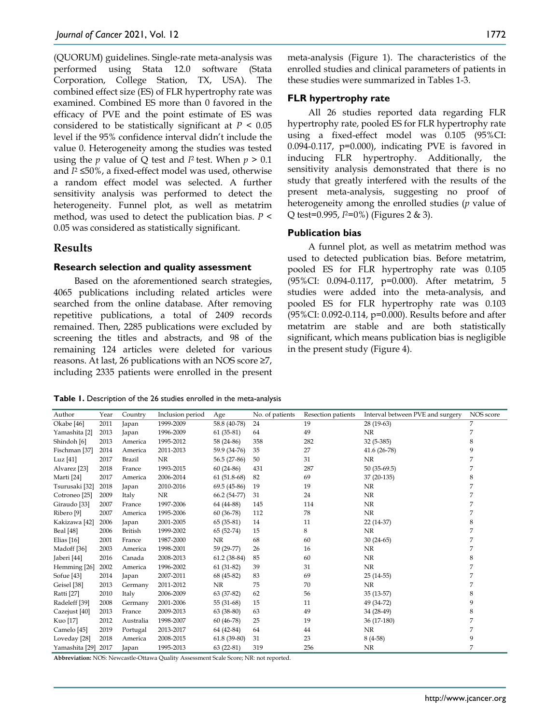(QUORUM) guidelines. Single-rate meta-analysis was performed using Stata 12.0 software (Stata Corporation, College Station, TX, USA). The combined effect size (ES) of FLR hypertrophy rate was examined. Combined ES more than 0 favored in the efficacy of PVE and the point estimate of ES was considered to be statistically significant at  $P < 0.05$ level if the 95% confidence interval didn't include the value 0. Heterogeneity among the studies was tested using the *p* value of Q test and *I*<sup>2</sup> test. When  $p > 0.1$ and *I*<sup>2</sup> ≤50%, a fixed-effect model was used, otherwise a random effect model was selected. A further sensitivity analysis was performed to detect the heterogeneity. Funnel plot, as well as metatrim method, was used to detect the publication bias. *P* < 0.05 was considered as statistically significant.

## **Results**

## **Research selection and quality assessment**

Based on the aforementioned search strategies, 4065 publications including related articles were searched from the online database. After removing repetitive publications, a total of 2409 records remained. Then, 2285 publications were excluded by screening the titles and abstracts, and 98 of the remaining 124 articles were deleted for various reasons. At last, 26 publications with an NOS score ≥7, including 2335 patients were enrolled in the present meta-analysis (Figure 1). The characteristics of the enrolled studies and clinical parameters of patients in these studies were summarized in Tables 1-3.

## **FLR hypertrophy rate**

All 26 studies reported data regarding FLR hypertrophy rate, pooled ES for FLR hypertrophy rate using a fixed-effect model was 0.105 (95%CI: 0.094-0.117, p=0.000), indicating PVE is favored in inducing FLR hypertrophy. Additionally, the sensitivity analysis demonstrated that there is no study that greatly interfered with the results of the present meta-analysis, suggesting no proof of heterogeneity among the enrolled studies (*p* value of Q test=0.995, *I*2=0%) (Figures 2 & 3).

## **Publication bias**

A funnel plot, as well as metatrim method was used to detected publication bias. Before metatrim, pooled ES for FLR hypertrophy rate was 0.105 (95%CI: 0.094-0.117, p=0.000). After metatrim, 5 studies were added into the meta-analysis, and pooled ES for FLR hypertrophy rate was 0.103 (95%CI: 0.092-0.114, p=0.000). Results before and after metatrim are stable and are both statistically significant, which means publication bias is negligible in the present study (Figure 4).

**Table 1.** Description of the 26 studies enrolled in the meta-analysis

| Author                   | Year | Country        | Inclusion period | Age           | No. of patients | Resection patients | Interval between PVE and surgery | NOS score |
|--------------------------|------|----------------|------------------|---------------|-----------------|--------------------|----------------------------------|-----------|
| Okabe <sup>[46]</sup>    | 2011 | Japan          | 1999-2009        | 58.8 (40-78)  | 24              | 19                 | $28(19-63)$                      | 7         |
| Yamashita [2]            | 2013 | Japan          | 1996-2009        | $61(35-81)$   | 64              | 49                 | NR                               | 7         |
| Shindoh <sup>[6]</sup>   | 2013 | America        | 1995-2012        | 58 (24-86)    | 358             | 282                | 32 (5-385)                       | 8         |
| Fischman [37]            | 2014 | America        | 2011-2013        | 59.9 (34-76)  | 35              | 27                 | $41.6(26-78)$                    | 9         |
| Luz $[41]$               | 2017 | <b>Brazil</b>  | NR               | 56.5 (27-86)  | 50              | 31                 | NR                               | 7         |
| Alvarez [23]             | 2018 | France         | 1993-2015        | $60(24-86)$   | 431             | 287                | $50(35-69.5)$                    | 7         |
| Marti [24]               | 2017 | America        | 2006-2014        | $61(51.8-68)$ | 82              | 69                 | 37 (20-135)                      | 8         |
| Tsurusaki [32]           | 2018 | Japan          | 2010-2016        | 69.5 (45-86)  | 19              | 19                 | NR                               | 7         |
| Cotroneo <sup>[25]</sup> | 2009 | Italy          | NR               | 66.2 (54-77)  | 31              | 24                 | $\rm NR$                         | 7         |
| Giraudo [33]             | 2007 | France         | 1997-2006        | 64 (44-88)    | 145             | 114                | NR                               | 7         |
| Ribero <sup>[9]</sup>    | 2007 | America        | 1995-2006        | $60(36-78)$   | 112             | 78                 | NR                               | 7         |
| Kakizawa [42]            | 2006 | Japan          | 2001-2005        | $65(35-81)$   | 14              | 11                 | 22 (14-37)                       | 8         |
| <b>Beal</b> [48]         | 2006 | <b>British</b> | 1999-2002        | 65 (52-74)    | 15              | 8                  | NR                               | 7         |
| Elias $[16]$             | 2001 | France         | 1987-2000        | NR            | 68              | 60                 | $30(24-65)$                      | 7         |
| Madoff [36]              | 2003 | America        | 1998-2001        | 59 (29-77)    | 26              | 16                 | NR                               | 7         |
| Jaberi [44]              | 2016 | Canada         | 2008-2013        | $61.2(38-84)$ | 85              | 60                 | $\rm NR$                         | 8         |
| Hemming [26]             | 2002 | America        | 1996-2002        | $61(31-82)$   | 39              | 31                 | NR                               | 7         |
| Sofue [43]               | 2014 | Japan          | 2007-2011        | 68 (45-82)    | 83              | 69                 | $25(14-55)$                      | 7         |
| Geisel [38]              | 2013 | Germany        | 2011-2012        | <b>NR</b>     | 75              | 70                 | NR                               | 7         |
| Ratti [27]               | 2010 | Italy          | 2006-2009        | 63 (37-82)    | 62              | 56                 | 35 (13-57)                       | 8         |
| Radeleff [39]            | 2008 | Germany        | 2001-2006        | 55 (31-68)    | 15              | 11                 | 49 (34-72)                       | 9         |
| Cazejust [40]            | 2013 | France         | 2009-2013        | $63(38-80)$   | 63              | 49                 | 34 (28-49)                       | 8         |
| Kuo [17]                 | 2012 | Australia      | 1998-2007        | $60(46-78)$   | 25              | 19                 | 36 (17-180)                      | 7         |
| Camelo [45]              | 2019 | Portugal       | 2013-2017        | 64 (42-84)    | 64              | 44                 | NR                               | 7         |
| Loveday [28]             | 2018 | America        | 2008-2015        | $61.8(39-80)$ | 31              | 23                 | $8(4-58)$                        | 9         |
| Yamashita [29]           | 2017 | Japan          | 1995-2013        | $63(22-81)$   | 319             | 256                | NR                               | 7         |

**Abbreviation:** NOS: Newcastle-Ottawa Quality Assessment Scale Score; NR: not reported.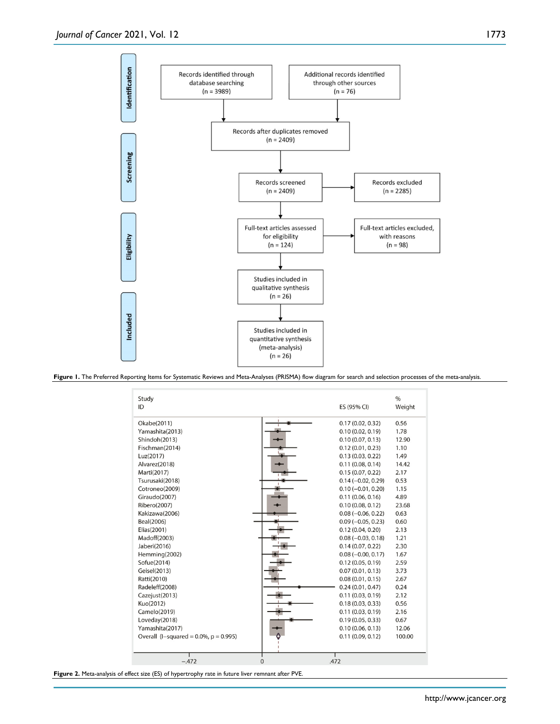

**Figure 1.** The Preferred Reporting Items for Systematic Reviews and Meta-Analyses (PRISMA) flow diagram for search and selection processes of the meta-analysis.



**Figure 2.** Meta-analysis of effect size (ES) of hypertrophy rate in future liver remnant after PVE.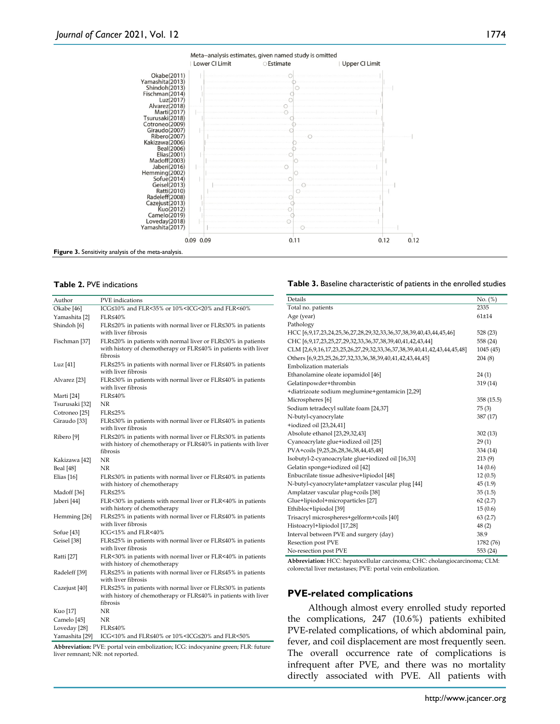

#### **Table 2.** PVE indications

| Author                | <b>PVE</b> indications                                                                                                                     |
|-----------------------|--------------------------------------------------------------------------------------------------------------------------------------------|
| Okabe <sup>[46]</sup> | ICG≤10% and FLR<35% or 10% <icg<20% and="" flr<60%<="" td=""></icg<20%>                                                                    |
| Yamashita [2]         | FLR≤40%                                                                                                                                    |
| Shindoh [6]           | FLR≤20% in patients with normal liver or FLR≤30% in patients<br>with liver fibrosis                                                        |
| Fischman [37]         | FLR≤20% in patients with normal liver or FLR≤30% in patients<br>with history of chemotherapy or FLR≤40% in patients with liver<br>fibrosis |
| Luz [41]              | FLR≤25% in patients with normal liver or FLR≤40% in patients<br>with liver fibrosis                                                        |
| Alvarez [23]          | FLR≤30% in patients with normal liver or FLR≤40% in patients<br>with liver fibrosis                                                        |
| Marti [24]            | FLR≤40%                                                                                                                                    |
| Tsurusaki [32]        | NR                                                                                                                                         |
| Cotroneo [25]         | $FLR \leq 25\%$                                                                                                                            |
| Giraudo [33]          | FLR≤30% in patients with normal liver or FLR≤40% in patients<br>with liver fibrosis                                                        |
| Ribero <sup>[9]</sup> | FLR≤20% in patients with normal liver or FLR≤30% in patients<br>with history of chemotherapy or FLR≤40% in patients with liver<br>fibrosis |
| Kakizawa [42]         | NR                                                                                                                                         |
| Beal [48]             | ΝR                                                                                                                                         |
| Elias $[16]$          | FLR≤30% in patients with normal liver or FLR≤40% in patients<br>with history of chemotherapy                                               |
| Madoff [36]           | FLR≤25%                                                                                                                                    |
| Jaberi [44]           | FLR<30% in patients with normal liver or FLR<40% in patients<br>with history of chemotherapy                                               |
| Hemming [26]          | FLR≤25% in patients with normal liver or FLR≤40% in patients<br>with liver fibrosis                                                        |
| Sofue [43]            | ICG<15% and FLR<40%                                                                                                                        |
| Geisel [38]           | FLR≤25% in patients with normal liver or FLR≤40% in patients<br>with liver fibrosis                                                        |
| Ratti [27]            | FLR<30% in patients with normal liver or FLR<40% in patients<br>with history of chemotherapy                                               |
| Radeleff [39]         | FLR≤25% in patients with normal liver or FLR≤45% in patients<br>with liver fibrosis                                                        |
| Cazejust [40]         | FLR≤25% in patients with normal liver or FLR≤30% in patients<br>with history of chemotherapy or FLR≤40% in patients with liver<br>fibrosis |
| Kuo [17]              | NR                                                                                                                                         |
| Camelo [45]           | NR                                                                                                                                         |
| Loveday [28]          | FLR≤40%                                                                                                                                    |
| Yamashita [29]        | ICG<10% and FLR≤40% or 10% <icg≤20% and="" flr<50%<="" td=""></icg≤20%>                                                                    |

**Abbreviation:** PVE: portal vein embolization; ICG: indocyanine green; FLR: future liver remnant; NR: not reported.

#### **Table 3.** Baseline characteristic of patients in the enrolled studies

| Details                                                                 | No. (%)    |
|-------------------------------------------------------------------------|------------|
| Total no. patients                                                      | 2335       |
| Age (year)                                                              | $61 + 14$  |
| Pathology                                                               |            |
| HCC [6,9,17,23,24,25,36,27,28,29,32,33,36,37,38,39,40,43,44,45,46]      | 528 (23)   |
| CHC [6,9,17,23,25,27,29,32,33,36,37,38,39,40,41,42,43,44]               | 558 (24)   |
| CLM [2,6,9,16,17,23,25,26,27,29,32,33,36,37,38,39,40,41,42,43,44,45,48] | 1045(45)   |
| Others [6,9,23,25,26,27,32,33,36,38,39,40,41,42,43,44,45]               | 204(8)     |
| <b>Embolization</b> materials                                           |            |
| Ethanolamine oleate iopamidol [46]                                      | 24(1)      |
| Gelatinpowder+thrombin                                                  | 319 (14)   |
| +diatrizoate sodium meglumine+gentamicin [2,29]                         |            |
| Microspheres [6]                                                        | 358 (15.5) |
| Sodium tetradecyl sulfate foam [24,37]                                  | 75(3)      |
| N-butyl-cyanocrylate                                                    | 387 (17)   |
| +iodized oil [23,24,41]                                                 |            |
| Absolute ethanol [23,29,32,43]                                          | 302(13)    |
| Cyanoacrylate glue+iodized oil [25]                                     | 29(1)      |
| PVA+coils [9,25,26,28,36,38,44,45,48]                                   | 334 (14)   |
| Isobutyl-2-cyanoacrylate glue+iodized oil [16,33]                       | 213(9)     |
| Gelatin sponge+iodized oil [42]                                         | 14(0.6)    |
| Enbucrilate tissue adhesive+lipiodol [48]                               | 12(0.5)    |
| N-butyl-cyanocrylate+amplatzer vascular plug [44]                       | 45(1.9)    |
| Amplatzer vascular plug+coils [38]                                      | 35(1.5)    |
| Glue+lipiodol+microparticles [27]                                       | 62(2.7)    |
| Ethibloc+lipiodol [39]                                                  | 15(0.6)    |
| Trisacryl microspheres+gelform+coils [40]                               | 63(2.7)    |
| Histoacryl+lipiodol [17,28]                                             | 48(2)      |
| Interval between PVE and surgery (day)                                  | 38.9       |
| Resection post PVE                                                      | 1782 (76)  |
| No-resection post PVE                                                   | 553 (24)   |

**Abbreviation:** HCC: hepatocellular carcinoma; CHC: cholangiocarcinoma; CLM: colorectal liver metastases; PVE: portal vein embolization.

#### **PVE-related complications**

Although almost every enrolled study reported the complications, 247 (10.6%) patients exhibited PVE-related complications, of which abdominal pain, fever, and coil displacement are most frequently seen. The overall occurrence rate of complications is infrequent after PVE, and there was no mortality directly associated with PVE. All patients with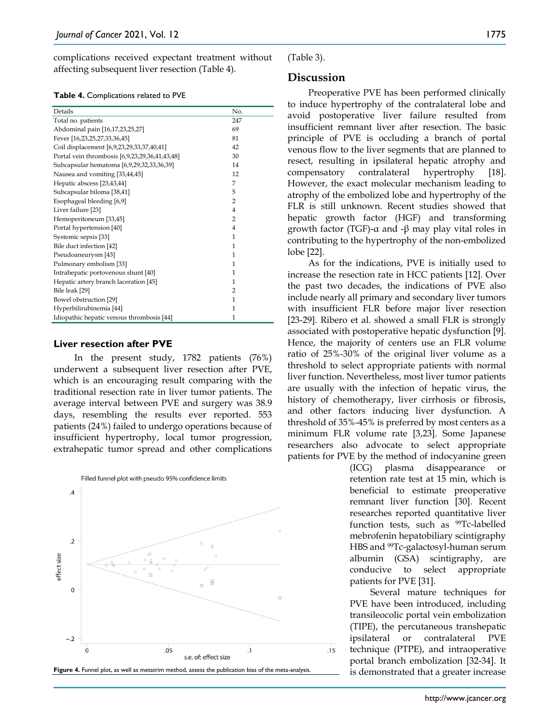complications received expectant treatment without affecting subsequent liver resection (Table 4).

**Table 4.** Complications related to PVE

| Details                                        | No.            |
|------------------------------------------------|----------------|
| Total no. patients                             | 247            |
| Abdominal pain [16,17,23,25,27]                | 69             |
| Fever [16,23,25,27,33,36,45]                   | 81             |
| Coil displacement [6,9,23,29,33,37,40,41]      | 42             |
| Portal vein thrombosis [6,9,23,29,36,41,43,48] | 30             |
| Subcapsular hematoma [6,9,29,32,33,36,39]      | 14             |
| Nausea and vomiting [33,44,45]                 | 12             |
| Hepatic abscess [23,43,44]                     | 7              |
| Subcapsular biloma [38,41]                     | 5              |
| Esophageal bleeding [6,9]                      | $\overline{2}$ |
| Liver failure [23]                             | $\overline{4}$ |
| Hemoperitoneum [33,45]                         | $\overline{2}$ |
| Portal hypertension [40]                       | $\overline{4}$ |
| Systemic sepsis [33]                           | 1              |
| Bile duct infection [42]                       | 1              |
| Pseudoaneurysm [43]                            | 1              |
| Pulmonary embolism [33]                        | 1              |
| Intrahepatic portovenous shunt [40]            | 1              |
| Hepatic artery branch laceration [45]          | 1              |
| Bile leak [29]                                 | $\overline{2}$ |
| Bowel obstruction [29]                         | 1              |
| Hyperbilirubinemia [44]                        | $\mathbf{1}$   |
| Idiopathic hepatic venous thrombosis [44]      | 1              |

#### **Liver resection after PVE**

In the present study, 1782 patients (76%) underwent a subsequent liver resection after PVE, which is an encouraging result comparing with the traditional resection rate in liver tumor patients. The average interval between PVE and surgery was 38.9 days, resembling the results ever reported. 553 patients (24%) failed to undergo operations because of insufficient hypertrophy, local tumor progression, extrahepatic tumor spread and other complications



(Table 3).

## **Discussion**

Preoperative PVE has been performed clinically to induce hypertrophy of the contralateral lobe and avoid postoperative liver failure resulted from insufficient remnant liver after resection. The basic principle of PVE is occluding a branch of portal venous flow to the liver segments that are planned to resect, resulting in ipsilateral hepatic atrophy and compensatory contralateral hypertrophy [18]. However, the exact molecular mechanism leading to atrophy of the embolized lobe and hypertrophy of the FLR is still unknown. Recent studies showed that hepatic growth factor (HGF) and transforming growth factor (TGF)-α and -β may play vital roles in contributing to the hypertrophy of the non-embolized lobe [22].

As for the indications, PVE is initially used to increase the resection rate in HCC patients [12]. Over the past two decades, the indications of PVE also include nearly all primary and secondary liver tumors with insufficient FLR before major liver resection [23-29]. Ribero et al. showed a small FLR is strongly associated with postoperative hepatic dysfunction [9]. Hence, the majority of centers use an FLR volume ratio of 25%-30% of the original liver volume as a threshold to select appropriate patients with normal liver function. Nevertheless, most liver tumor patients are usually with the infection of hepatic virus, the history of chemotherapy, liver cirrhosis or fibrosis, and other factors inducing liver dysfunction. A threshold of 35%-45% is preferred by most centers as a minimum FLR volume rate [3,23]. Some Japanese researchers also advocate to select appropriate patients for PVE by the method of indocyanine green

(ICG) plasma disappearance or retention rate test at 15 min, which is beneficial to estimate preoperative remnant liver function [30]. Recent researches reported quantitative liver function tests, such as  $^{99}$ Tc-labelled mebrofenin hepatobiliary scintigraphy HBS and 99Tc-galactosyl-human serum albumin (GSA) scintigraphy, are conducive to select appropriate patients for PVE [31].

Several mature techniques for PVE have been introduced, including transileocolic portal vein embolization (TIPE), the percutaneous transhepatic ipsilateral or contralateral PVE technique (PTPE), and intraoperative portal branch embolization [32-34]. It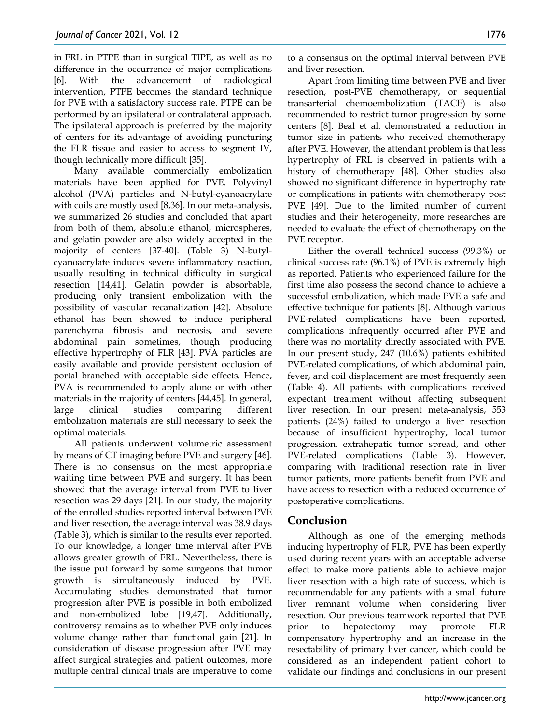in FRL in PTPE than in surgical TIPE, as well as no difference in the occurrence of major complications [6]. With the advancement of radiological intervention, PTPE becomes the standard technique for PVE with a satisfactory success rate. PTPE can be performed by an ipsilateral or contralateral approach. The ipsilateral approach is preferred by the majority of centers for its advantage of avoiding puncturing the FLR tissue and easier to access to segment Ⅳ, though technically more difficult [35].

Many available commercially embolization materials have been applied for PVE. Polyvinyl alcohol (PVA) particles and N-butyl-cyanoacrylate with coils are mostly used [8,36]. In our meta-analysis, we summarized 26 studies and concluded that apart from both of them, absolute ethanol, microspheres, and gelatin powder are also widely accepted in the majority of centers [37-40]. (Table 3) N-butylcyanoacrylate induces severe inflammatory reaction, usually resulting in technical difficulty in surgical resection [14,41]. Gelatin powder is absorbable, producing only transient embolization with the possibility of vascular recanalization [42]. Absolute ethanol has been showed to induce peripheral parenchyma fibrosis and necrosis, and severe abdominal pain sometimes, though producing effective hypertrophy of FLR [43]. PVA particles are easily available and provide persistent occlusion of portal branched with acceptable side effects. Hence, PVA is recommended to apply alone or with other materials in the majority of centers [44,45]. In general, large clinical studies comparing different embolization materials are still necessary to seek the optimal materials.

All patients underwent volumetric assessment by means of CT imaging before PVE and surgery [46]. There is no consensus on the most appropriate waiting time between PVE and surgery. It has been showed that the average interval from PVE to liver resection was 29 days [21]. In our study, the majority of the enrolled studies reported interval between PVE and liver resection, the average interval was 38.9 days (Table 3), which is similar to the results ever reported. To our knowledge, a longer time interval after PVE allows greater growth of FRL. Nevertheless, there is the issue put forward by some surgeons that tumor growth is simultaneously induced by PVE. Accumulating studies demonstrated that tumor progression after PVE is possible in both embolized and non-embolized lobe [19,47]. Additionally, controversy remains as to whether PVE only induces volume change rather than functional gain [21]. In consideration of disease progression after PVE may affect surgical strategies and patient outcomes, more multiple central clinical trials are imperative to come

to a consensus on the optimal interval between PVE and liver resection.

Apart from limiting time between PVE and liver resection, post-PVE chemotherapy, or sequential transarterial chemoembolization (TACE) is also recommended to restrict tumor progression by some centers [8]. Beal et al. demonstrated a reduction in tumor size in patients who received chemotherapy after PVE. However, the attendant problem is that less hypertrophy of FRL is observed in patients with a history of chemotherapy [48]. Other studies also showed no significant difference in hypertrophy rate or complications in patients with chemotherapy post PVE [49]. Due to the limited number of current studies and their heterogeneity, more researches are needed to evaluate the effect of chemotherapy on the PVE receptor.

Either the overall technical success (99.3%) or clinical success rate (96.1%) of PVE is extremely high as reported. Patients who experienced failure for the first time also possess the second chance to achieve a successful embolization, which made PVE a safe and effective technique for patients [8]. Although various PVE-related complications have been reported, complications infrequently occurred after PVE and there was no mortality directly associated with PVE. In our present study, 247 (10.6%) patients exhibited PVE-related complications, of which abdominal pain, fever, and coil displacement are most frequently seen (Table 4). All patients with complications received expectant treatment without affecting subsequent liver resection. In our present meta-analysis, 553 patients (24%) failed to undergo a liver resection because of insufficient hypertrophy, local tumor progression, extrahepatic tumor spread, and other PVE-related complications (Table 3). However, comparing with traditional resection rate in liver tumor patients, more patients benefit from PVE and have access to resection with a reduced occurrence of postoperative complications.

# **Conclusion**

Although as one of the emerging methods inducing hypertrophy of FLR, PVE has been expertly used during recent years with an acceptable adverse effect to make more patients able to achieve major liver resection with a high rate of success, which is recommendable for any patients with a small future liver remnant volume when considering liver resection. Our previous teamwork reported that PVE prior to hepatectomy may promote FLR compensatory hypertrophy and an increase in the resectability of primary liver cancer, which could be considered as an independent patient cohort to validate our findings and conclusions in our present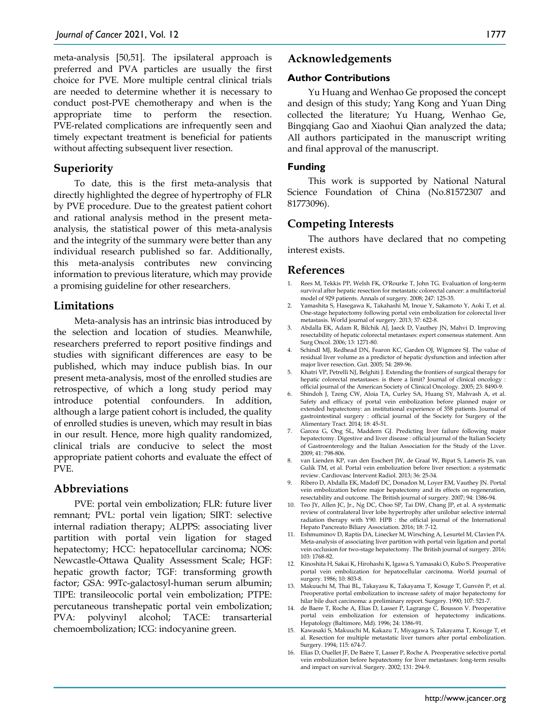meta-analysis [50,51]. The ipsilateral approach is preferred and PVA particles are usually the first choice for PVE. More multiple central clinical trials are needed to determine whether it is necessary to conduct post-PVE chemotherapy and when is the appropriate time to perform the resection. PVE-related complications are infrequently seen and timely expectant treatment is beneficial for patients without affecting subsequent liver resection.

## **Superiority**

To date, this is the first meta-analysis that directly highlighted the degree of hypertrophy of FLR by PVE procedure. Due to the greatest patient cohort and rational analysis method in the present metaanalysis, the statistical power of this meta-analysis and the integrity of the summary were better than any individual research published so far. Additionally, this meta-analysis contributes new convincing information to previous literature, which may provide a promising guideline for other researchers.

## **Limitations**

Meta-analysis has an intrinsic bias introduced by the selection and location of studies. Meanwhile, researchers preferred to report positive findings and studies with significant differences are easy to be published, which may induce publish bias. In our present meta-analysis, most of the enrolled studies are retrospective, of which a long study period may introduce potential confounders. In addition, although a large patient cohort is included, the quality of enrolled studies is uneven, which may result in bias in our result. Hence, more high quality randomized, clinical trials are conducive to select the most appropriate patient cohorts and evaluate the effect of PVE.

## **Abbreviations**

PVE: portal vein embolization; FLR: future liver remnant; PVL: portal vein ligation; SIRT: selective internal radiation therapy; ALPPS: associating liver partition with portal vein ligation for staged hepatectomy; HCC: hepatocellular carcinoma; NOS: Newcastle-Ottawa Quality Assessment Scale; HGF: hepatic growth factor; TGF: transforming growth factor; GSA: 99Tc-galactosyl-human serum albumin; TIPE: transileocolic portal vein embolization; PTPE: percutaneous transhepatic portal vein embolization; PVA: polyvinyl alcohol; TACE: transarterial chemoembolization; ICG: indocyanine green.

## **Acknowledgements**

## **Author Contributions**

Yu Huang and Wenhao Ge proposed the concept and design of this study; Yang Kong and Yuan Ding collected the literature; Yu Huang, Wenhao Ge, Bingqiang Gao and Xiaohui Qian analyzed the data; All authors participated in the manuscript writing and final approval of the manuscript.

## **Funding**

This work is supported by National Natural Science Foundation of China (No.81572307 and 81773096).

# **Competing Interests**

The authors have declared that no competing interest exists.

## **References**

- 1. Rees M, Tekkis PP, Welsh FK, O'Rourke T, John TG. Evaluation of long-term survival after hepatic resection for metastatic colorectal cancer: a multifactorial model of 929 patients. Annals of surgery. 2008; 247: 125-35.
- 2. Yamashita S, Hasegawa K, Takahashi M, Inoue Y, Sakamoto Y, Aoki T, et al. One-stage hepatectomy following portal vein embolization for colorectal liver metastasis. World journal of surgery. 2013; 37: 622-8.
- 3. Abdalla EK, Adam R, Bilchik AJ, Jaeck D, Vauthey JN, Mahvi D. Improving resectability of hepatic colorectal metastases: expert consensus statement. Ann Surg Oncol. 2006; 13: 1271-80.
- 4. Schindl MJ, Redhead DN, Fearon KC, Garden OJ, Wigmore SJ. The value of residual liver volume as a predictor of hepatic dysfunction and infection after major liver resection. Gut. 2005; 54: 289-96.
- 5. Khatri VP, Petrelli NJ, Belghiti J. Extending the frontiers of surgical therapy for hepatic colorectal metastases: is there a limit? Journal of clinical oncology : official journal of the American Society of Clinical Oncology. 2005; 23: 8490-9.
- 6. Shindoh J, Tzeng CW, Aloia TA, Curley SA, Huang SY, Mahvash A, et al. Safety and efficacy of portal vein embolization before planned major or extended hepatectomy: an institutional experience of 358 patients. Journal of gastrointestinal surgery : official journal of the Society for Surgery of the Alimentary Tract. 2014; 18: 45-51.
- 7. Garcea G, Ong SL, Maddern GJ. Predicting liver failure following major hepatectomy. Digestive and liver disease : official journal of the Italian Society of Gastroenterology and the Italian Association for the Study of the Liver. 2009; 41: 798-806.
- 8. van Lienden KP, van den Esschert JW, de Graaf W, Bipat S, Lameris JS, van Gulik TM, et al. Portal vein embolization before liver resection: a systematic review. Cardiovasc Intervent Radiol. 2013; 36: 25-34.
- 9. Ribero D, Abdalla EK, Madoff DC, Donadon M, Loyer EM, Vauthey JN. Portal vein embolization before major hepatectomy and its effects on regeneration, resectability and outcome. The British journal of surgery. 2007; 94: 1386-94.
- 10. Teo JY, Allen JC, Jr., Ng DC, Choo SP, Tai DW, Chang JP, et al. A systematic review of contralateral liver lobe hypertrophy after unilobar selective internal radiation therapy with Y90. HPB : the official journal of the International Hepato Pancreato Biliary Association. 2016; 18: 7-12.
- 11. Eshmuminov D, Raptis DA, Linecker M, Wirsching A, Lesurtel M, Clavien PA. Meta-analysis of associating liver partition with portal vein ligation and portal vein occlusion for two-stage hepatectomy. The British journal of surgery. 2016; 103: 1768-82.
- 12. Kinoshita H, Sakai K, Hirohashi K, Igawa S, Yamasaki O, Kubo S. Preoperative portal vein embolization for hepatocellular carcinoma. World journal of surgery. 1986; 10: 803-8.
- 13. Makuuchi M, Thai BL, Takayasu K, Takayama T, Kosuge T, Gunvén P, et al. Preoperative portal embolization to increase safety of major hepatectomy for hilar bile duct carcinoma: a preliminary report. Surgery. 1990; 107: 521-7.
- 14. de Baere T, Roche A, Elias D, Lasser P, Lagrange C, Bousson V. Preoperative portal vein embolization for extension of hepatectomy indications. Hepatology (Baltimore, Md). 1996; 24: 1386-91.
- 15. Kawasaki S, Makuuchi M, Kakazu T, Miyagawa S, Takayama T, Kosuge T, et al. Resection for multiple metastatic liver tumors after portal embolization. Surgery. 1994; 115: 674-7.
- 16. Elias D, Ouellet JF, De Baère T, Lasser P, Roche A. Preoperative selective portal vein embolization before hepatectomy for liver metastases: long-term results and impact on survival. Surgery. 2002; 131: 294-9.